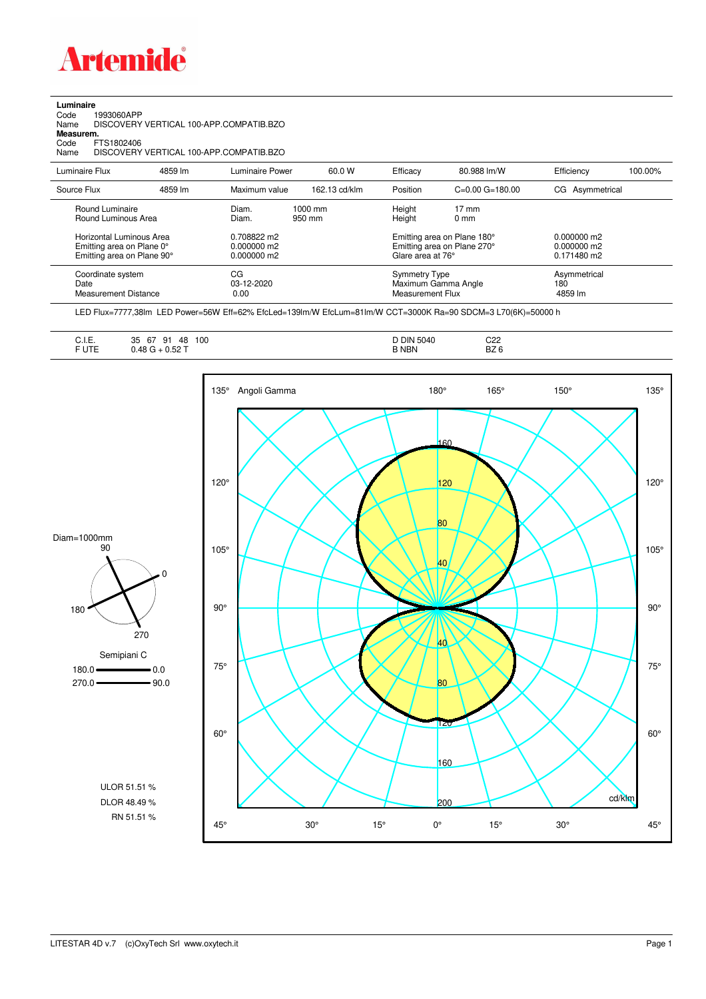

**Luminaire**<br>Code 1<br>Name [ Code 1993060APP Name DISCOVERY VERTICAL 100-APP.COMPATIB.BZO

**Measurem.**

Code FTS1802406<br>Name DISCOVERY Name DISCOVERY VERTICAL 100-APP.COMPATIB.BZO

| Luminaire Flux                                                                      | 4859 lm | Luminaire Power                               | 60.0 W              | Efficacy                                 | 80.988 lm/W                                                | Efficiency                                      | 100.00% |
|-------------------------------------------------------------------------------------|---------|-----------------------------------------------|---------------------|------------------------------------------|------------------------------------------------------------|-------------------------------------------------|---------|
| Source Flux                                                                         | 4859 lm | Maximum value                                 | 162.13 cd/klm       | Position                                 | $C = 0.00$ $G = 180.00$                                    | CG Asymmetrical                                 |         |
| Round Luminaire<br>Round Luminous Area                                              |         | Diam.<br>Diam.                                | $1000$ mm<br>950 mm | Height<br>Height                         | $17 \text{ mm}$<br>0 <sub>mm</sub>                         |                                                 |         |
| Horizontal Luminous Area<br>Emitting area on Plane 0°<br>Emitting area on Plane 90° |         | 0.708822 m2<br>$0.000000$ m2<br>$0.000000$ m2 |                     | Glare area at 76°                        | Emitting area on Plane 180°<br>Emitting area on Plane 270° | $0.000000$ m2<br>$0.000000$ m2<br>$0.171480$ m2 |         |
| Coordinate system<br>Date<br><b>Measurement Distance</b>                            |         | СG<br>$03-12-2020$<br>0.00                    |                     | Symmetry Type<br><b>Measurement Flux</b> | Maximum Gamma Angle                                        | Asymmetrical<br>180<br>4859 lm                  |         |

LED Flux=7777,38lm LED Power=56W Eff=62% EfcLed=139lm/W EfcLum=81lm/W CCT=3000K Ra=90 SDCM=3 L70(6K)=50000 h

| $\sim$ $\sim$<br>∪. I.⊏. | 100<br>35<br>67<br>Q <sub>1</sub><br>48<br>ັ | <b>DIN 5040</b> | C22             |  |
|--------------------------|----------------------------------------------|-----------------|-----------------|--|
| UTE                      | $\alpha$ co $\tau$<br>ABC<br>U.JZ            | <b>B NBN</b>    | BZ <sub>6</sub> |  |